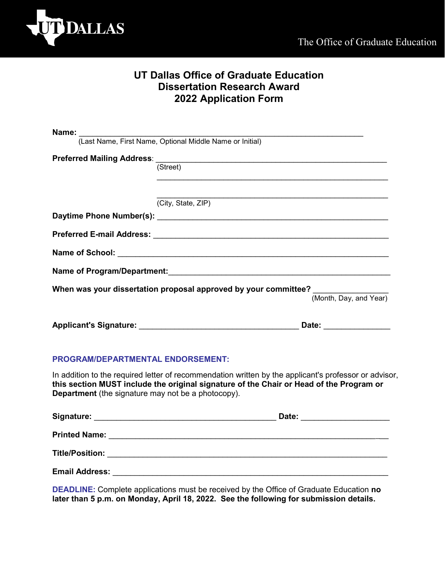

## **UT Dallas Office of Graduate Education Dissertation Research Award 2022 Application Form**

| Name: [Last Name, First Name, Optional Middle Name or Initial]                  |                        |
|---------------------------------------------------------------------------------|------------------------|
|                                                                                 |                        |
| (Street)                                                                        |                        |
|                                                                                 |                        |
|                                                                                 |                        |
| (City, State, ZIP)                                                              |                        |
|                                                                                 |                        |
|                                                                                 |                        |
|                                                                                 |                        |
|                                                                                 |                        |
| When was your dissertation proposal approved by your committee? _______________ |                        |
|                                                                                 | (Month, Day, and Year) |
|                                                                                 | Date: __________       |

## **PROGRAM/DEPARTMENTAL ENDORSEMENT:**

In addition to the required letter of recommendation written by the applicant's professor or advisor, **this section MUST include the original signature of the Chair or Head of the Program or Department** (the signature may not be a photocopy).

| Signature:             | Date: |  |
|------------------------|-------|--|
| <b>Printed Name:</b>   |       |  |
| <b>Title/Position:</b> |       |  |
| <b>Email Address:</b>  |       |  |

**DEADLINE:** Complete applications must be received by the Office of Graduate Education **no later than 5 p.m. on Monday, April 18, 2022. See the following for submission details.**